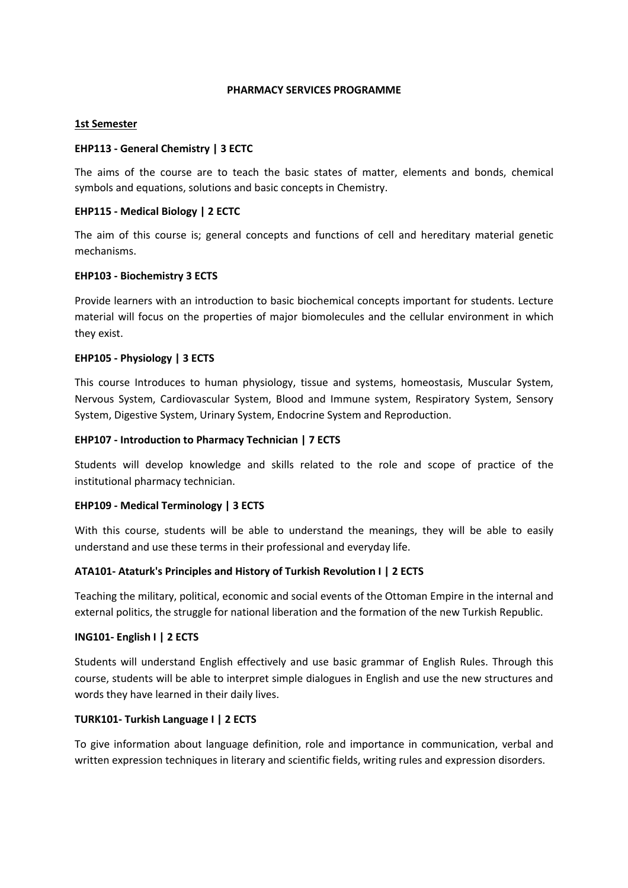#### **PHARMACY SERVICES PROGRAMME**

#### **1st Semester**

#### **EHP113 - General Chemistry | 3 ECTC**

The aims of the course are to teach the basic states of matter, elements and bonds, chemical symbols and equations, solutions and basic concepts in Chemistry.

#### **EHP115 - Medical Biology | 2 ECTC**

The aim of this course is; general concepts and functions of cell and hereditary material genetic mechanisms.

#### **EHP103 - Biochemistry 3 ECTS**

Provide learners with an introduction to basic biochemical concepts important for students. Lecture material will focus on the properties of major biomolecules and the cellular environment in which they exist.

#### **EHP105 - Physiology | 3 ECTS**

This course Introduces to human physiology, tissue and systems, homeostasis, Muscular System, Nervous System, Cardiovascular System, Blood and Immune system, Respiratory System, Sensory System, Digestive System, Urinary System, Endocrine System and Reproduction.

#### **EHP107 - Introduction to Pharmacy Technician | 7 ECTS**

Students will develop knowledge and skills related to the role and scope of practice of the institutional pharmacy technician.

#### **EHP109 - Medical Terminology | 3 ECTS**

With this course, students will be able to understand the meanings, they will be able to easily understand and use these terms in their professional and everyday life.

#### **ATA101- Ataturk's Principles and History of Turkish Revolution I | 2 ECTS**

Teaching the military, political, economic and social events of the Ottoman Empire in the internal and external politics, the struggle for national liberation and the formation of the new Turkish Republic.

#### **ING101- English I | 2 ECTS**

Students will understand English effectively and use basic grammar of English Rules. Through this course, students will be able to interpret simple dialogues in English and use the new structures and words they have learned in their daily lives.

#### **TURK101- Turkish Language I | 2 ECTS**

To give information about language definition, role and importance in communication, verbal and written expression techniques in literary and scientific fields, writing rules and expression disorders.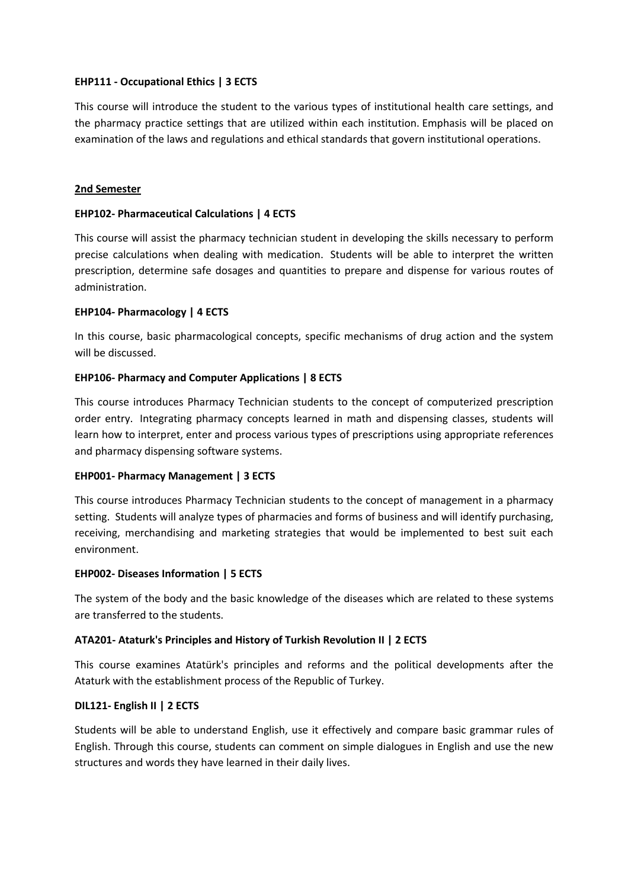# **EHP111 - Occupational Ethics | 3 ECTS**

This course will introduce the student to the various types of institutional health care settings, and the pharmacy practice settings that are utilized within each institution. Emphasis will be placed on examination of the laws and regulations and ethical standards that govern institutional operations.

#### **2nd Semester**

#### **EHP102- Pharmaceutical Calculations | 4 ECTS**

This course will assist the pharmacy technician student in developing the skills necessary to perform precise calculations when dealing with medication. Students will be able to interpret the written prescription, determine safe dosages and quantities to prepare and dispense for various routes of administration.

# **EHP104- Pharmacology | 4 ECTS**

In this course, basic pharmacological concepts, specific mechanisms of drug action and the system will be discussed.

# **EHP106- Pharmacy and Computer Applications | 8 ECTS**

This course introduces Pharmacy Technician students to the concept of computerized prescription order entry. Integrating pharmacy concepts learned in math and dispensing classes, students will learn how to interpret, enter and process various types of prescriptions using appropriate references and pharmacy dispensing software systems.

#### **EHP001- Pharmacy Management | 3 ECTS**

This course introduces Pharmacy Technician students to the concept of management in a pharmacy setting. Students will analyze types of pharmacies and forms of business and will identify purchasing, receiving, merchandising and marketing strategies that would be implemented to best suit each environment.

#### **EHP002- Diseases Information | 5 ECTS**

The system of the body and the basic knowledge of the diseases which are related to these systems are transferred to the students.

#### **ATA201- Ataturk's Principles and History of Turkish Revolution II | 2 ECTS**

This course examines Atatürk's principles and reforms and the political developments after the Ataturk with the establishment process of the Republic of Turkey.

#### **DIL121- English II | 2 ECTS**

Students will be able to understand English, use it effectively and compare basic grammar rules of English. Through this course, students can comment on simple dialogues in English and use the new structures and words they have learned in their daily lives.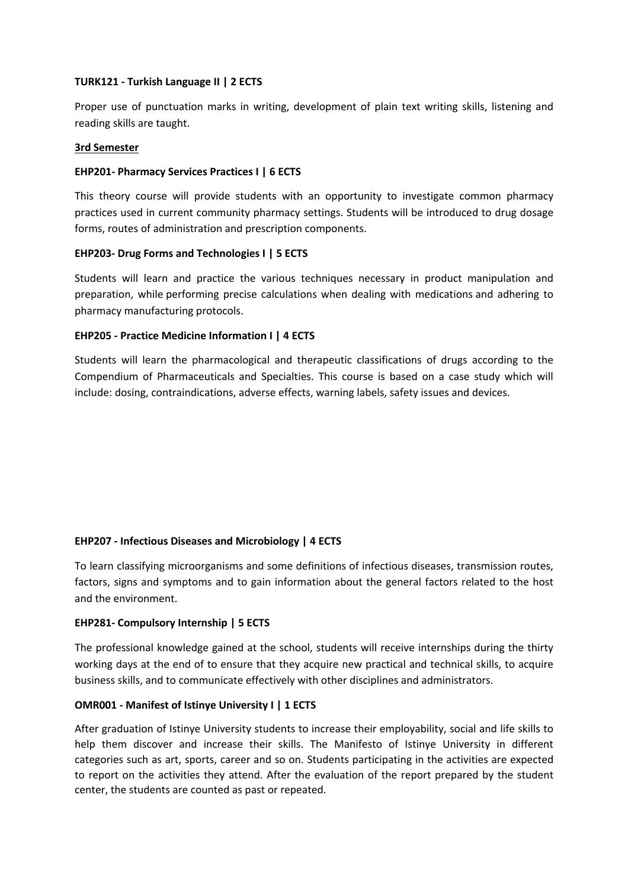#### **TURK121 - Turkish Language II | 2 ECTS**

Proper use of punctuation marks in writing, development of plain text writing skills, listening and reading skills are taught.

#### **3rd Semester**

# **EHP201- Pharmacy Services Practices I | 6 ECTS**

This theory course will provide students with an opportunity to investigate common pharmacy practices used in current community pharmacy settings. Students will be introduced to drug dosage forms, routes of administration and prescription components.

# **EHP203- Drug Forms and Technologies I | 5 ECTS**

Students will learn and practice the various techniques necessary in product manipulation and preparation, while performing precise calculations when dealing with medications and adhering to pharmacy manufacturing protocols.

# **EHP205 - Practice Medicine Information I | 4 ECTS**

Students will learn the pharmacological and therapeutic classifications of drugs according to the Compendium of Pharmaceuticals and Specialties. This course is based on a case study which will include: dosing, contraindications, adverse effects, warning labels, safety issues and devices.

# **EHP207 - Infectious Diseases and Microbiology | 4 ECTS**

To learn classifying microorganisms and some definitions of infectious diseases, transmission routes, factors, signs and symptoms and to gain information about the general factors related to the host and the environment.

#### **EHP281- Compulsory Internship | 5 ECTS**

The professional knowledge gained at the school, students will receive internships during the thirty working days at the end of to ensure that they acquire new practical and technical skills, to acquire business skills, and to communicate effectively with other disciplines and administrators.

# **OMR001 - Manifest of Istinye University I | 1 ECTS**

After graduation of Istinye University students to increase their employability, social and life skills to help them discover and increase their skills. The Manifesto of Istinye University in different categories such as art, sports, career and so on. Students participating in the activities are expected to report on the activities they attend. After the evaluation of the report prepared by the student center, the students are counted as past or repeated.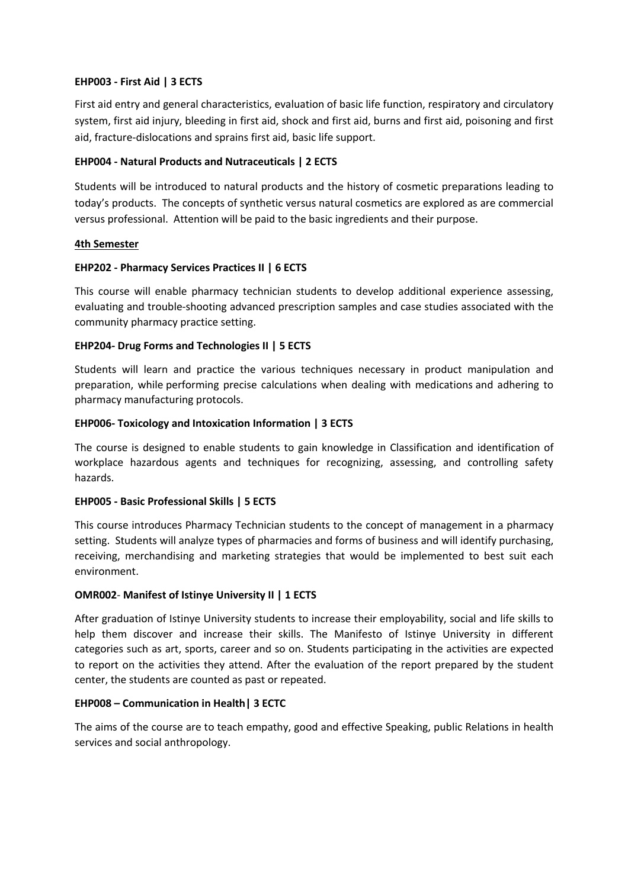# **EHP003 - First Aid | 3 ECTS**

First aid entry and general characteristics, evaluation of basic life function, respiratory and circulatory system, first aid injury, bleeding in first aid, shock and first aid, burns and first aid, poisoning and first aid, fracture-dislocations and sprains first aid, basic life support.

# **EHP004 - Natural Products and Nutraceuticals | 2 ECTS**

Students will be introduced to natural products and the history of cosmetic preparations leading to today's products. The concepts of synthetic versus natural cosmetics are explored as are commercial versus professional. Attention will be paid to the basic ingredients and their purpose.

# **4th Semester**

# **EHP202 - Pharmacy Services Practices II | 6 ECTS**

This course will enable pharmacy technician students to develop additional experience assessing, evaluating and trouble-shooting advanced prescription samples and case studies associated with the community pharmacy practice setting.

# **EHP204- Drug Forms and Technologies II | 5 ECTS**

Students will learn and practice the various techniques necessary in product manipulation and preparation, while performing precise calculations when dealing with medications and adhering to pharmacy manufacturing protocols.

# **EHP006- Toxicology and Intoxication Information | 3 ECTS**

The course is designed to enable students to gain knowledge in Classification and identification of workplace hazardous agents and techniques for recognizing, assessing, and controlling safety hazards.

#### **EHP005 - Basic Professional Skills | 5 ECTS**

This course introduces Pharmacy Technician students to the concept of management in a pharmacy setting. Students will analyze types of pharmacies and forms of business and will identify purchasing, receiving, merchandising and marketing strategies that would be implemented to best suit each environment.

#### **OMR002**- **Manifest of Istinye University II | 1 ECTS**

After graduation of Istinye University students to increase their employability, social and life skills to help them discover and increase their skills. The Manifesto of Istinye University in different categories such as art, sports, career and so on. Students participating in the activities are expected to report on the activities they attend. After the evaluation of the report prepared by the student center, the students are counted as past or repeated.

#### **EHP008 – Communication in Health| 3 ECTC**

The aims of the course are to teach empathy, good and effective Speaking, public Relations in health services and social anthropology.